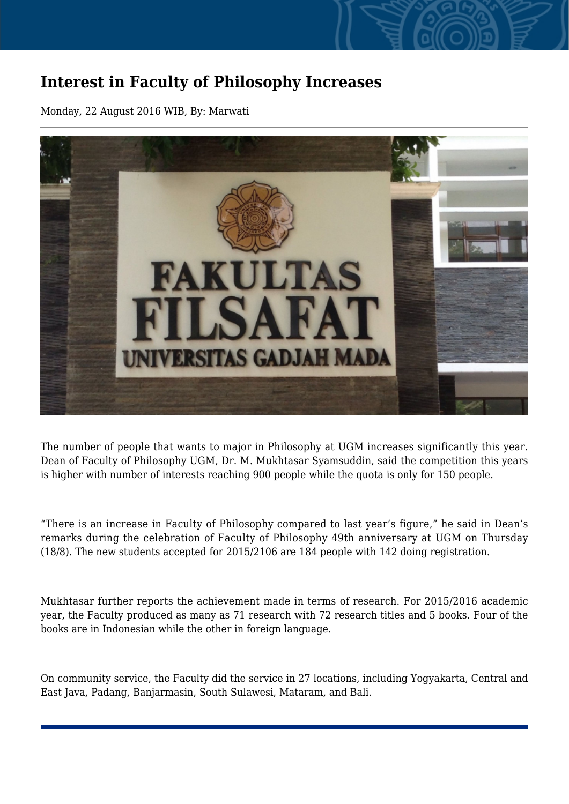## **Interest in Faculty of Philosophy Increases**

Monday, 22 August 2016 WIB, By: Marwati



The number of people that wants to major in Philosophy at UGM increases significantly this year. Dean of Faculty of Philosophy UGM, Dr. M. Mukhtasar Syamsuddin, said the competition this years is higher with number of interests reaching 900 people while the quota is only for 150 people.

"There is an increase in Faculty of Philosophy compared to last year's figure," he said in Dean's remarks during the celebration of Faculty of Philosophy 49th anniversary at UGM on Thursday (18/8). The new students accepted for 2015/2106 are 184 people with 142 doing registration.

Mukhtasar further reports the achievement made in terms of research. For 2015/2016 academic year, the Faculty produced as many as 71 research with 72 research titles and 5 books. Four of the books are in Indonesian while the other in foreign language.

On community service, the Faculty did the service in 27 locations, including Yogyakarta, Central and East Java, Padang, Banjarmasin, South Sulawesi, Mataram, and Bali.